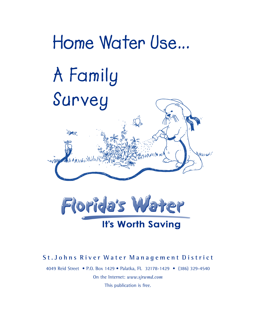

## St. Johns River Water Management District

4049 Reid Street • P.O. Box 1429 • Palatka, FL 32178-1429 • (386) 329-4540 On the Internet: *www.sjrwmd.com* This publication is free.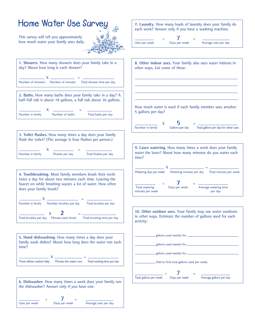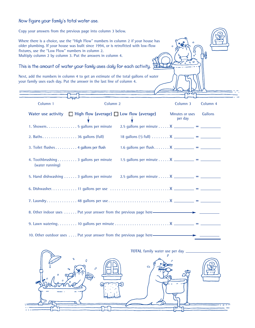## **Now figure your family's total water use.**

Copy your answers from the previous page into column 3 below. Where there is a choice, use the "High Flow" numbers in column 2 if your house has older plumbing. If your house was built since 1994, or is retrofitted with low-flow fixtures, use the "Low Flow" numbers in column 2. Multiply column 2 by column 3. Put the answers in column 4.

**This is the amount of water your family uses daily for each activity.**

Next, add the numbers in column 4 to get an estimate of the total gallons of water your family uses each day. Put the answer in the last line of column 4.

| Column 1                                                                              | Column <sub>2</sub> |                                                       | Column 3                   | Column 4 |
|---------------------------------------------------------------------------------------|---------------------|-------------------------------------------------------|----------------------------|----------|
| Water use activity $\Box$ High flow (average) $\Box$ Low flow (average)               |                     |                                                       | Minutes or uses<br>per day | Gallons  |
| 1. Showers 5 gallons per minute                                                       |                     | 2.5 gallons per minute X __________ = _________       |                            |          |
|                                                                                       |                     | 18 gallons $(1/2$ full)  X _________ = _________      |                            |          |
| 3. Toilet flushes 4 gallons per flush                                                 |                     | 1.6 gallons per flush $X$ ___________ = _____________ |                            |          |
| 4. Toothbrushing 3 gallons per minute<br>(water running)                              |                     | 1.5 gallons per minute X __________ = __________      |                            |          |
| 5. Hand dishwashing 3 gallons per minute 2.5 gallons per minute X ________ = ________ |                     |                                                       |                            |          |
|                                                                                       |                     |                                                       |                            |          |
|                                                                                       |                     |                                                       |                            |          |
| 8. Other indoor uses Put your answer from the previous page here—————————             |                     |                                                       |                            |          |
|                                                                                       |                     |                                                       |                            |          |
| 10. Other outdoor uses Put your answer from the previous page here———————             |                     |                                                       |                            |          |

່ວ in.